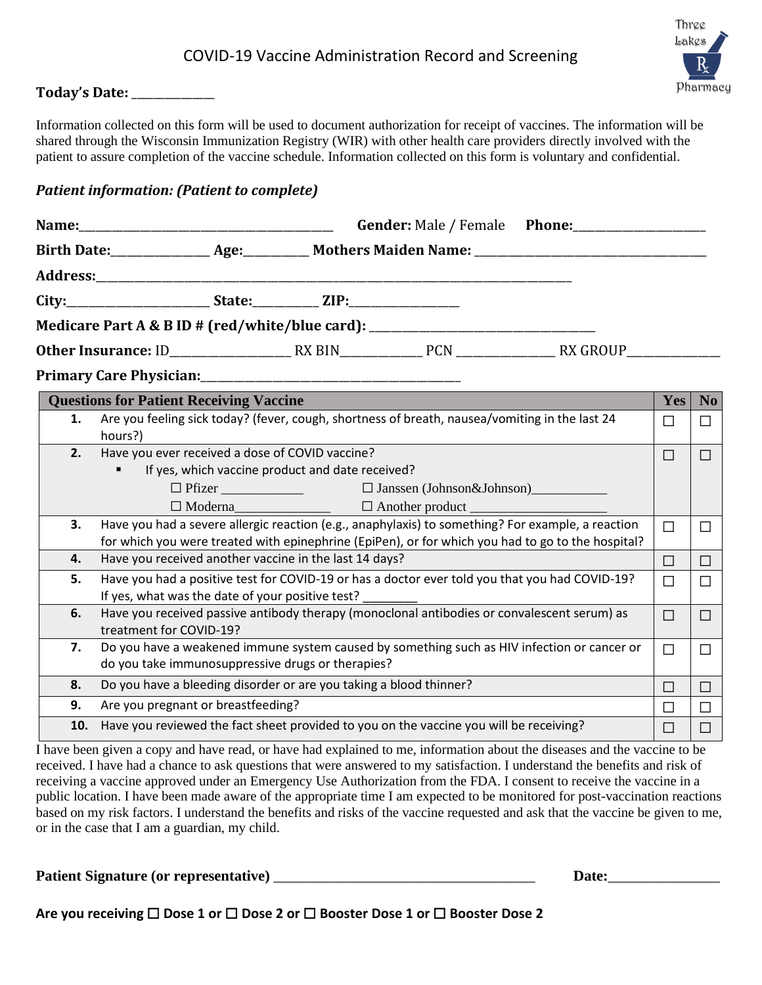### COVID-19 Vaccine Administration Record and Screening



#### **Today's Date:** \_\_\_\_\_\_\_\_\_\_\_\_\_\_\_

Information collected on this form will be used to document authorization for receipt of vaccines. The information will be shared through the Wisconsin Immunization Registry (WIR) with other health care providers directly involved with the patient to assure completion of the vaccine schedule. Information collected on this form is voluntary and confidential.

#### *Patient information: (Patient to complete)*

|     | Gender: Male / Female Phone:                                                                                                                                                                           |              |                |
|-----|--------------------------------------------------------------------------------------------------------------------------------------------------------------------------------------------------------|--------------|----------------|
|     |                                                                                                                                                                                                        |              |                |
|     |                                                                                                                                                                                                        |              |                |
|     |                                                                                                                                                                                                        |              |                |
|     | Medicare Part A & B ID # (red/white/blue card): ________________________________                                                                                                                       |              |                |
|     |                                                                                                                                                                                                        |              |                |
|     |                                                                                                                                                                                                        |              |                |
|     | <b>Questions for Patient Receiving Vaccine</b>                                                                                                                                                         | Yes          | N <sub>o</sub> |
| 1.  | Are you feeling sick today? (fever, cough, shortness of breath, nausea/vomiting in the last 24<br>hours?)                                                                                              | П            |                |
| 2.  | Have you ever received a dose of COVID vaccine?                                                                                                                                                        | П            | П              |
|     | If yes, which vaccine product and date received?                                                                                                                                                       |              |                |
|     |                                                                                                                                                                                                        |              |                |
|     |                                                                                                                                                                                                        |              |                |
| 3.  | Have you had a severe allergic reaction (e.g., anaphylaxis) to something? For example, a reaction<br>for which you were treated with epinephrine (EpiPen), or for which you had to go to the hospital? | П            | ΙI             |
| 4.  | Have you received another vaccine in the last 14 days?                                                                                                                                                 | $\Box$       | $\mathsf{L}$   |
| 5.  | Have you had a positive test for COVID-19 or has a doctor ever told you that you had COVID-19?<br>If yes, what was the date of your positive test?                                                     | П            |                |
| 6.  | Have you received passive antibody therapy (monoclonal antibodies or convalescent serum) as<br>treatment for COVID-19?                                                                                 | П            | ΙI             |
| 7.  | Do you have a weakened immune system caused by something such as HIV infection or cancer or<br>do you take immunosuppressive drugs or therapies?                                                       | $\Box$       | $\mathsf{L}$   |
| 8.  | Do you have a bleeding disorder or are you taking a blood thinner?                                                                                                                                     | П            | П              |
| 9.  | Are you pregnant or breastfeeding?                                                                                                                                                                     |              | П              |
| 10. | Have you reviewed the fact sheet provided to you on the vaccine you will be receiving?                                                                                                                 | $\mathsf{L}$ |                |

I have been given a copy and have read, or have had explained to me, information about the diseases and the vaccine to be received. I have had a chance to ask questions that were answered to my satisfaction. I understand the benefits and risk of receiving a vaccine approved under an Emergency Use Authorization from the FDA. I consent to receive the vaccine in a public location. I have been made aware of the appropriate time I am expected to be monitored for post-vaccination reactions based on my risk factors. I understand the benefits and risks of the vaccine requested and ask that the vaccine be given to me, or in the case that I am a guardian, my child.

**Patient Signature (or representative)** \_\_\_\_\_\_\_\_\_\_\_\_\_\_\_\_\_\_\_\_\_\_\_\_\_\_\_\_\_\_\_\_\_\_\_ **Date:**\_\_\_\_\_\_\_\_\_\_\_\_\_\_\_

**Are you receiving** ☐ **Dose 1 or** ☐ **Dose 2 or** ☐ **Booster Dose 1 or** ☐ **Booster Dose 2**